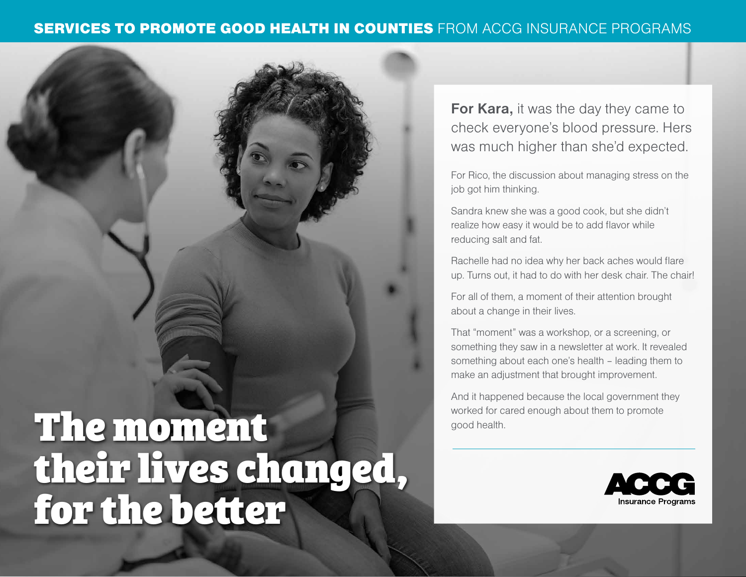#### SERVICES TO PROMOTE GOOD HEALTH IN COUNTIES FROM ACCG INSURANCE PROGRAMS

# worked for cared enough about them to promote their lives changed, for the better

**For Kara,** it was the day they came to check everyone's blood pressure. Hers was much higher than she'd expected.

For Rico, the discussion about managing stress on the job got him thinking.

Sandra knew she was a good cook, but she didn't realize how easy it would be to add flavor while reducing salt and fat.

Rachelle had no idea why her back aches would flare up. Turns out, it had to do with her desk chair. The chair!

For all of them, a moment of their attention brought about a change in their lives.

That "moment" was a workshop, or a screening, or something they saw in a newsletter at work. It revealed something about each one's health – leading them to make an adjustment that brought improvement.

And it happened because the local government they

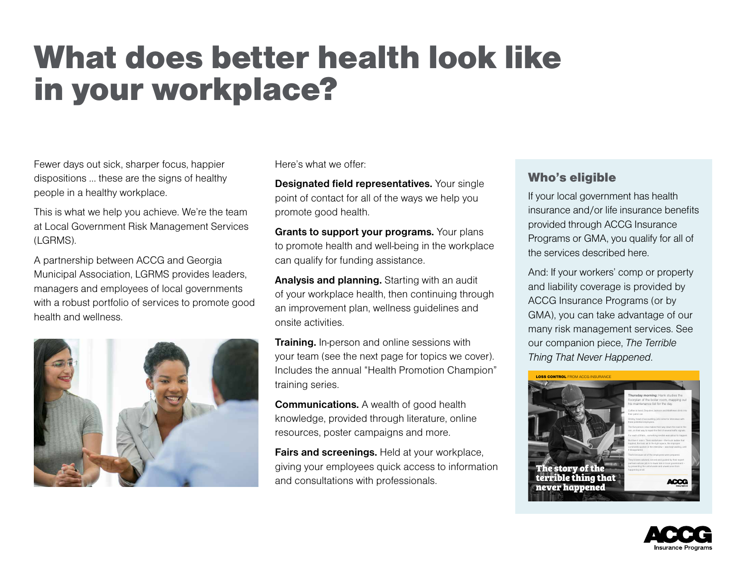### What does better health look like in your workplace?

Fewer days out sick, sharper focus, happier dispositions … these are the signs of healthy people in a healthy workplace.

This is what we help you achieve. We're the team at Local Government Risk Management Services (LGRMS).

A partnership between ACCG and Georgia Municipal Association, LGRMS provides leaders, managers and employees of local governments with a robust portfolio of services to promote good health and wellness.



Here's what we offer:

**Designated field representatives.** Your single point of contact for all of the ways we help you promote good health.

**Grants to support your programs.** Your plans to promote health and well-being in the workplace can qualify for funding assistance.

**Analysis and planning.** Starting with an audit of your workplace health, then continuing through an improvement plan, wellness guidelines and onsite activities.

**Training.** In-person and online sessions with your team (see the next page for topics we cover). Includes the annual "Health Promotion Champion" training series.

**Communications.** A wealth of good health knowledge, provided through literature, online resources, poster campaigns and more.

**Fairs and screenings.** Held at your workplace, giving your employees quick access to information and consultations with professionals.

#### Who's eligible

If your local government has health insurance and/or life insurance benefits provided through ACCG Insurance Programs or GMA, you qualify for all of the services described here.

And: If your workers' comp or property and liability coverage is provided by ACCG Insurance Programs (or by GMA), you can take advantage of our many risk management services. See our companion piece, *The Terrible Thing That Never Happened*.